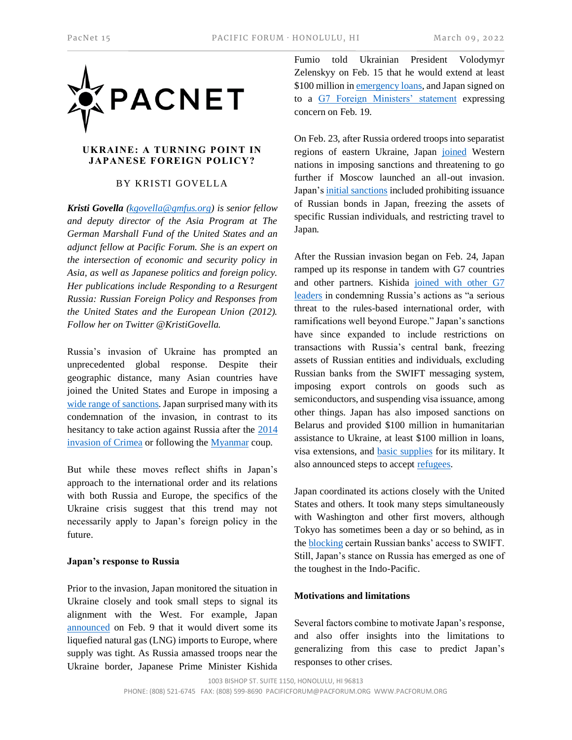

## **UKRAINE: A TURNING POINT IN JAPANESE FOREIGN POLICY?**

## BY KRISTI GOVELLA

*Kristi Govella [\(kgovella@gmfus.org\)](mailto:kgovella@gmfus.org) is senior fellow and deputy director of the Asia Program at The German Marshall Fund of the United States and an adjunct fellow at Pacific Forum. She is an expert on the intersection of economic and security policy in Asia, as well as Japanese politics and foreign policy. Her publications include Responding to a Resurgent Russia: Russian Foreign Policy and Responses from the United States and the European Union (2012). Follow her on Twitter @KristiGovella.* 

Russia's invasion of Ukraine has prompted an unprecedented global response. Despite their geographic distance, many Asian countries have joined the United States and Europe in imposing a [wide range of sanctions.](https://www.ft.com/content/6f3ce193-ab7d-4449-ac1b-751d49b1aaf8) Japan surprised many with its condemnation of the invasion, in contrast to its hesitancy to take action against Russia after the [2014](https://www.atlanticcouncil.org/blogs/ukrainealert/how-to-make-sense-of-japan-s-delicate-balance-between-russia-and-ukraine/)  [invasion of Crimea](https://www.atlanticcouncil.org/blogs/ukrainealert/how-to-make-sense-of-japan-s-delicate-balance-between-russia-and-ukraine/) or following the [Myanmar](https://www.bloomberg.com/news/articles/2021-06-19/japan-s-refusal-to-sanction-myanmar-over-abuses-undermines-biden-s-strategy) coup.

But while these moves reflect shifts in Japan's approach to the international order and its relations with both Russia and Europe, the specifics of the Ukraine crisis suggest that this trend may not necessarily apply to Japan's foreign policy in the future.

## **Japan's response to Russia**

Prior to the invasion, Japan monitored the situation in Ukraine closely and took small steps to signal its alignment with the West. For example, Japan [announced](https://www.reuters.com/business/energy/japan-diverting-lng-europe-some-already-route-industry-minister-2022-02-09/) on Feb. 9 that it would divert some its liquefied natural gas (LNG) imports to Europe, where supply was tight. As Russia amassed troops near the Ukraine border, Japanese Prime Minister Kishida

Fumio told Ukrainian President Volodymyr Zelenskyy on Feb. 15 that he would extend at least \$100 million i[n emergency loans,](https://www.reuters.com/markets/europe/japan-offers-ukraine-100-mln-loans-show-support-2022-02-15/) and Japan signed on to a [G7 Foreign Ministers' statement](https://eeas.europa.eu/headquarters/headquarters-homepage/111151/g7-foreign-ministers’-statement-russia-and-ukraine_en) expressing concern on Feb. 19.

On Feb. 23, after Russia ordered troops into separatist regions of eastern Ukraine, Japan [joined](https://www.reuters.com/world/europe/west-unveils-sanctions-with-more-ready-if-russia-carries-out-full-scale-ukraine-2022-02-23/) Western nations in imposing sanctions and threatening to go further if Moscow launched an all-out invasion. Japan's [initial sanctions](https://www.reuters.com/world/japan-imposes-sanctions-russia-over-actions-ukraine-2022-02-23/) included prohibiting issuance of Russian bonds in Japan, freezing the assets of specific Russian individuals, and restricting travel to Japan.

After the Russian invasion began on Feb. 24, Japan ramped up its response in tandem with G7 countries and other partners. Kishida [joined with other G7](https://pm.gc.ca/en/news/statements/2022/02/24/g7-leaders-statement-invasion-ukraine-armed-forces-russian-federation)  [leaders](https://pm.gc.ca/en/news/statements/2022/02/24/g7-leaders-statement-invasion-ukraine-armed-forces-russian-federation) in condemning Russia's actions as "a serious threat to the rules-based international order, with ramifications well beyond Europe." Japan's sanctions have since expanded to include restrictions on transactions with Russia's central bank, freezing assets of Russian entities and individuals, excluding Russian banks from the SWIFT messaging system, imposing export controls on goods such as semiconductors, and suspending visa issuance, among other things. Japan has also imposed sanctions on Belarus and provided \$100 million in humanitarian assistance to Ukraine, at least \$100 million in loans, visa extensions, and [basic supplies](https://www.wsj.com/livecoverage/russia-ukraine-latest-news-2022-03-04/card/japan-will-send-the-ukrainian-military-basic-supplies-VOtpnPjTX2ooK8dqQ8o8) for its military. It also announced steps to accept [refugees.](https://mainichi.jp/english/articles/20220228/p2a/00m/0na/017000c)

Japan coordinated its actions closely with the United States and others. It took many steps simultaneously with Washington and other first movers, although Tokyo has sometimes been a day or so behind, as in th[e blocking](https://www.reuters.com/business/finance/japan-joins-us-others-excluding-russia-swift-system-2022-02-27/) certain Russian banks' access to SWIFT. Still, Japan's stance on Russia has emerged as one of the toughest in the Indo-Pacific.

## **Motivations and limitations**

Several factors combine to motivate Japan's response, and also offer insights into the limitations to generalizing from this case to predict Japan's responses to other crises.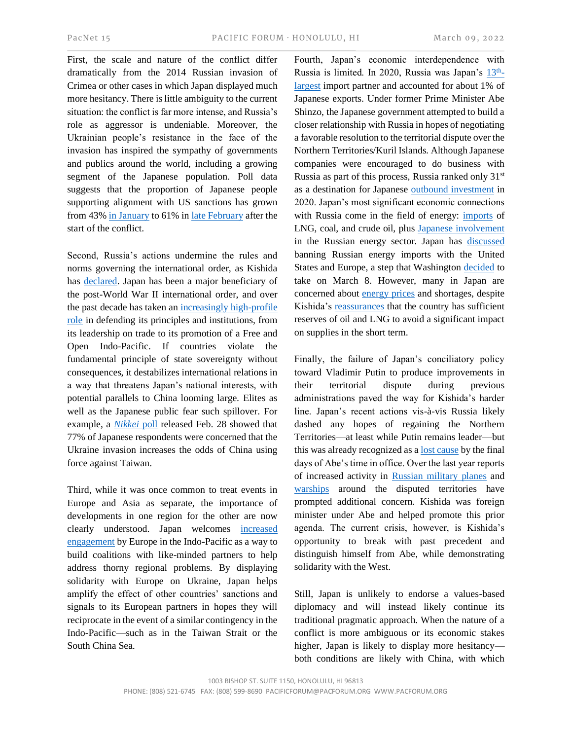First, the scale and nature of the conflict differ dramatically from the 2014 Russian invasion of Crimea or other cases in which Japan displayed much more hesitancy. There is little ambiguity to the current situation: the conflict is far more intense, and Russia's role as aggressor is undeniable. Moreover, the Ukrainian people's resistance in the face of the invasion has inspired the sympathy of governments and publics around the world, including a growing segment of the Japanese population. Poll data suggests that the proportion of Japanese people supporting alignment with US sanctions has grown from 43[% in January](https://vdata.nikkei.com/newsgraphics/cabinet-approval-rating/#?q=202201_1_Q12) to 61% i[n late February](https://www.thechicagocouncil.org/commentary-and-analysis/blogs/japanese-public-backs-sanctions-russia-aid-ukraine) after the start of the conflict.

Second, Russia's actions undermine the rules and norms governing the international order, as Kishida has [declared.](https://mainichi.jp/english/articles/20220224/p2g/00m/0na/059000c) Japan has been a major beneficiary of the post-World War II international order, and over the past decade has taken an [increasingly high-profile](https://www.cambridge.org/core/journals/world-trade-review/article/adaptation-of-japanese-economic-statecraft-trade-aid-and-technology/4EF4DA071368DCF0504AEF50B3D71A1B/share/35d07f5fe1966824bd644a33b8a2730d355906e8)  [role](https://www.cambridge.org/core/journals/world-trade-review/article/adaptation-of-japanese-economic-statecraft-trade-aid-and-technology/4EF4DA071368DCF0504AEF50B3D71A1B/share/35d07f5fe1966824bd644a33b8a2730d355906e8) in defending its principles and institutions, from its leadership on trade to its promotion of a Free and Open Indo-Pacific. If countries violate the fundamental principle of state sovereignty without consequences, it destabilizes international relations in a way that threatens Japan's national interests, with potential parallels to China looming large. Elites as well as the Japanese public fear such spillover. For example, a *[Nikkei](https://asia.nikkei.com/Politics/Ukraine-conflict-77-in-Japan-fear-Taiwan-spillover)* poll released Feb. 28 showed that 77% of Japanese respondents were concerned that the Ukraine invasion increases the odds of China using force against Taiwan.

Third, while it was once common to treat events in Europe and Asia as separate, the importance of developments in one region for the other are now clearly understood. Japan welcomes [increased](https://blogs.lse.ac.uk/europpblog/2021/09/24/assessing-the-eus-new-indo-pacific-strategy/)  [engagement](https://blogs.lse.ac.uk/europpblog/2021/09/24/assessing-the-eus-new-indo-pacific-strategy/) by Europe in the Indo-Pacific as a way to build coalitions with like-minded partners to help address thorny regional problems. By displaying solidarity with Europe on Ukraine, Japan helps amplify the effect of other countries' sanctions and signals to its European partners in hopes they will reciprocate in the event of a similar contingency in the Indo-Pacific—such as in the Taiwan Strait or the South China Sea.

Fourth, Japan's economic interdependence with Russia is limited. In 2020, Russia was Japan's [13](https://data.imf.org/regular.aspx?key=61726510)<sup>th</sup>[largest](https://data.imf.org/regular.aspx?key=61726510) import partner and accounted for about 1% of Japanese exports. Under former Prime Minister Abe Shinzo, the Japanese government attempted to build a closer relationship with Russia in hopes of negotiating a favorable resolution to the territorial dispute over the Northern Territories/Kuril Islands. Although Japanese companies were encouraged to do business with Russia as part of this process, Russia ranked only 31<sup>st</sup> as a destination for Japanese [outbound investment](https://www.jetro.go.jp/en/reports/statistics/) in 2020. Japan's most significant economic connections with Russia come in the field of energy: [imports](https://www.nippon.com/en/japan-data/h01266/) of LNG, coal, and crude oil, plus [Japanese involvement](https://www.wsj.com/articles/japan-sticks-to-russian-oil-and-gas-bucking-western-pullouts-11646392575) in the Russian energy sector. Japan has [discussed](https://www.japantimes.co.jp/news/2022/03/07/national/japan-us-eu-russia-oil/) banning Russian energy imports with the United States and Europe, a step that Washington [decided](https://www.cnn.com/2022/03/08/politics/russian-energy-import-ban/index.html) to take on March 8. However, many in Japan are concerned about [energy prices](https://www.asahi.com/ajw/articles/14555990) and shortages, despite Kishida's [reassurances](https://www.reuters.com/artcile/article/us-ukraine-crisis-japan/japan-says-energy-supply-secure-as-it-promises-more-sanctions-against-russia-idUSKBN2KU0NG) that the country has sufficient reserves of oil and LNG to avoid a significant impact on supplies in the short term.

Finally, the failure of Japan's conciliatory policy toward Vladimir Putin to produce improvements in their territorial dispute during previous administrations paved the way for Kishida's harder line. Japan's recent actions vis-à-vis Russia likely dashed any hopes of regaining the Northern Territories—at least while Putin remains leader—but this was already recognized as [a lost cause](https://www.lowyinstitute.org/the-interpreter/why-russia-will-not-return-kuril-islands-japan) by the final days of Abe's time in office. Over the last year reports of increased activity in [Russian military planes](https://www.scmp.com/week-asia/politics/article/3144546/japan-russia-islands-dispute-fears-tensions-are-dragging-us-and) and [warships](https://www.scmp.com/week-asia/politics/article/3167289/ukraine-crisis-russian-warships-waters-japan-are-warning-tokyo) around the disputed territories have prompted additional concern. Kishida was foreign minister under Abe and helped promote this prior agenda. The current crisis, however, is Kishida's opportunity to break with past precedent and distinguish himself from Abe, while demonstrating solidarity with the West.

Still, Japan is unlikely to endorse a values-based diplomacy and will instead likely continue its traditional pragmatic approach. When the nature of a conflict is more ambiguous or its economic stakes higher, Japan is likely to display more hesitancy both conditions are likely with China, with which